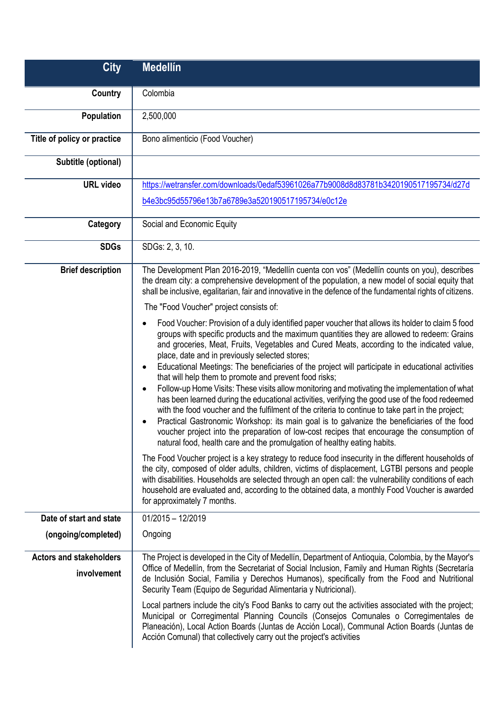| <b>City</b>                                   | <b>Medellín</b>                                                                                                                                                                                                                                                                                                                                                                                                                                                                                                                                                                                                                                                                                                                                                                                                                                                                                                                                                                                                                                                                                                                                                                                                                                                                                                                                                                                                                                                                                                                                                     |
|-----------------------------------------------|---------------------------------------------------------------------------------------------------------------------------------------------------------------------------------------------------------------------------------------------------------------------------------------------------------------------------------------------------------------------------------------------------------------------------------------------------------------------------------------------------------------------------------------------------------------------------------------------------------------------------------------------------------------------------------------------------------------------------------------------------------------------------------------------------------------------------------------------------------------------------------------------------------------------------------------------------------------------------------------------------------------------------------------------------------------------------------------------------------------------------------------------------------------------------------------------------------------------------------------------------------------------------------------------------------------------------------------------------------------------------------------------------------------------------------------------------------------------------------------------------------------------------------------------------------------------|
| Country                                       | Colombia                                                                                                                                                                                                                                                                                                                                                                                                                                                                                                                                                                                                                                                                                                                                                                                                                                                                                                                                                                                                                                                                                                                                                                                                                                                                                                                                                                                                                                                                                                                                                            |
| Population                                    | 2,500,000                                                                                                                                                                                                                                                                                                                                                                                                                                                                                                                                                                                                                                                                                                                                                                                                                                                                                                                                                                                                                                                                                                                                                                                                                                                                                                                                                                                                                                                                                                                                                           |
| Title of policy or practice                   | Bono alimenticio (Food Voucher)                                                                                                                                                                                                                                                                                                                                                                                                                                                                                                                                                                                                                                                                                                                                                                                                                                                                                                                                                                                                                                                                                                                                                                                                                                                                                                                                                                                                                                                                                                                                     |
| Subtitle (optional)                           |                                                                                                                                                                                                                                                                                                                                                                                                                                                                                                                                                                                                                                                                                                                                                                                                                                                                                                                                                                                                                                                                                                                                                                                                                                                                                                                                                                                                                                                                                                                                                                     |
| <b>URL</b> video                              | https://wetransfer.com/downloads/0edaf53961026a77b9008d8d83781b3420190517195734/d27d                                                                                                                                                                                                                                                                                                                                                                                                                                                                                                                                                                                                                                                                                                                                                                                                                                                                                                                                                                                                                                                                                                                                                                                                                                                                                                                                                                                                                                                                                |
|                                               | b4e3bc95d55796e13b7a6789e3a520190517195734/e0c12e                                                                                                                                                                                                                                                                                                                                                                                                                                                                                                                                                                                                                                                                                                                                                                                                                                                                                                                                                                                                                                                                                                                                                                                                                                                                                                                                                                                                                                                                                                                   |
| Category                                      | Social and Economic Equity                                                                                                                                                                                                                                                                                                                                                                                                                                                                                                                                                                                                                                                                                                                                                                                                                                                                                                                                                                                                                                                                                                                                                                                                                                                                                                                                                                                                                                                                                                                                          |
| <b>SDGs</b>                                   | SDGs: 2, 3, 10.                                                                                                                                                                                                                                                                                                                                                                                                                                                                                                                                                                                                                                                                                                                                                                                                                                                                                                                                                                                                                                                                                                                                                                                                                                                                                                                                                                                                                                                                                                                                                     |
| <b>Brief description</b>                      | The Development Plan 2016-2019, "Medellín cuenta con vos" (Medellín counts on you), describes<br>the dream city: a comprehensive development of the population, a new model of social equity that<br>shall be inclusive, egalitarian, fair and innovative in the defence of the fundamental rights of citizens.<br>The "Food Voucher" project consists of:                                                                                                                                                                                                                                                                                                                                                                                                                                                                                                                                                                                                                                                                                                                                                                                                                                                                                                                                                                                                                                                                                                                                                                                                          |
|                                               | Food Voucher: Provision of a duly identified paper voucher that allows its holder to claim 5 food<br>groups with specific products and the maximum quantities they are allowed to redeem: Grains<br>and groceries, Meat, Fruits, Vegetables and Cured Meats, according to the indicated value,<br>place, date and in previously selected stores;<br>Educational Meetings: The beneficiaries of the project will participate in educational activities<br>that will help them to promote and prevent food risks;<br>Follow-up Home Visits: These visits allow monitoring and motivating the implementation of what<br>$\bullet$<br>has been learned during the educational activities, verifying the good use of the food redeemed<br>with the food voucher and the fulfilment of the criteria to continue to take part in the project;<br>Practical Gastronomic Workshop: its main goal is to galvanize the beneficiaries of the food<br>voucher project into the preparation of low-cost recipes that encourage the consumption of<br>natural food, health care and the promulgation of healthy eating habits.<br>The Food Voucher project is a key strategy to reduce food insecurity in the different households of<br>the city, composed of older adults, children, victims of displacement, LGTBI persons and people<br>with disabilities. Households are selected through an open call: the vulnerability conditions of each<br>household are evaluated and, according to the obtained data, a monthly Food Voucher is awarded<br>for approximately 7 months. |
| Date of start and state                       | $01/2015 - 12/2019$                                                                                                                                                                                                                                                                                                                                                                                                                                                                                                                                                                                                                                                                                                                                                                                                                                                                                                                                                                                                                                                                                                                                                                                                                                                                                                                                                                                                                                                                                                                                                 |
| (ongoing/completed)                           | Ongoing                                                                                                                                                                                                                                                                                                                                                                                                                                                                                                                                                                                                                                                                                                                                                                                                                                                                                                                                                                                                                                                                                                                                                                                                                                                                                                                                                                                                                                                                                                                                                             |
| <b>Actors and stakeholders</b><br>involvement | The Project is developed in the City of Medellín, Department of Antioquia, Colombia, by the Mayor's<br>Office of Medellín, from the Secretariat of Social Inclusion, Family and Human Rights (Secretaría<br>de Inclusión Social, Familia y Derechos Humanos), specifically from the Food and Nutritional<br>Security Team (Equipo de Seguridad Alimentaria y Nutricional).                                                                                                                                                                                                                                                                                                                                                                                                                                                                                                                                                                                                                                                                                                                                                                                                                                                                                                                                                                                                                                                                                                                                                                                          |
|                                               | Local partners include the city's Food Banks to carry out the activities associated with the project;<br>Municipal or Corregimental Planning Councils (Consejos Comunales o Corregimentales de<br>Planeación), Local Action Boards (Juntas de Acción Local), Communal Action Boards (Juntas de<br>Acción Comunal) that collectively carry out the project's activities                                                                                                                                                                                                                                                                                                                                                                                                                                                                                                                                                                                                                                                                                                                                                                                                                                                                                                                                                                                                                                                                                                                                                                                              |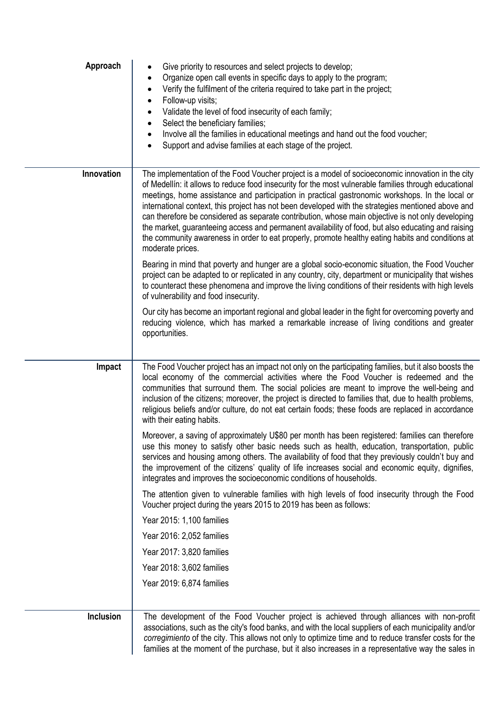| Approach   | Give priority to resources and select projects to develop;<br>Organize open call events in specific days to apply to the program;<br>$\bullet$<br>Verify the fulfilment of the criteria required to take part in the project;<br>Follow-up visits;<br>$\bullet$<br>Validate the level of food insecurity of each family;<br>Select the beneficiary families;<br>Involve all the families in educational meetings and hand out the food voucher;<br>Support and advise families at each stage of the project.                                                                                                                                                                                                                                                                                                                                                                                                                                                                                                                                                              |
|------------|---------------------------------------------------------------------------------------------------------------------------------------------------------------------------------------------------------------------------------------------------------------------------------------------------------------------------------------------------------------------------------------------------------------------------------------------------------------------------------------------------------------------------------------------------------------------------------------------------------------------------------------------------------------------------------------------------------------------------------------------------------------------------------------------------------------------------------------------------------------------------------------------------------------------------------------------------------------------------------------------------------------------------------------------------------------------------|
| Innovation | The implementation of the Food Voucher project is a model of socioeconomic innovation in the city<br>of Medellín: it allows to reduce food insecurity for the most vulnerable families through educational<br>meetings, home assistance and participation in practical gastronomic workshops. In the local or<br>international context, this project has not been developed with the strategies mentioned above and<br>can therefore be considered as separate contribution, whose main objective is not only developing<br>the market, guaranteeing access and permanent availability of food, but also educating and raising<br>the community awareness in order to eat properly, promote healthy eating habits and conditions at<br>moderate prices.<br>Bearing in mind that poverty and hunger are a global socio-economic situation, the Food Voucher<br>project can be adapted to or replicated in any country, city, department or municipality that wishes<br>to counteract these phenomena and improve the living conditions of their residents with high levels |
|            | of vulnerability and food insecurity.<br>Our city has become an important regional and global leader in the fight for overcoming poverty and<br>reducing violence, which has marked a remarkable increase of living conditions and greater<br>opportunities.                                                                                                                                                                                                                                                                                                                                                                                                                                                                                                                                                                                                                                                                                                                                                                                                              |
| Impact     | The Food Voucher project has an impact not only on the participating families, but it also boosts the<br>local economy of the commercial activities where the Food Voucher is redeemed and the<br>communities that surround them. The social policies are meant to improve the well-being and<br>inclusion of the citizens; moreover, the project is directed to families that, due to health problems,<br>religious beliefs and/or culture, do not eat certain foods; these foods are replaced in accordance<br>with their eating habits.                                                                                                                                                                                                                                                                                                                                                                                                                                                                                                                                |
|            | Moreover, a saving of approximately U\$80 per month has been registered: families can therefore<br>use this money to satisfy other basic needs such as health, education, transportation, public<br>services and housing among others. The availability of food that they previously couldn't buy and<br>the improvement of the citizens' quality of life increases social and economic equity, dignifies,<br>integrates and improves the socioeconomic conditions of households.                                                                                                                                                                                                                                                                                                                                                                                                                                                                                                                                                                                         |
|            | The attention given to vulnerable families with high levels of food insecurity through the Food<br>Voucher project during the years 2015 to 2019 has been as follows:                                                                                                                                                                                                                                                                                                                                                                                                                                                                                                                                                                                                                                                                                                                                                                                                                                                                                                     |
|            | Year 2015: 1,100 families                                                                                                                                                                                                                                                                                                                                                                                                                                                                                                                                                                                                                                                                                                                                                                                                                                                                                                                                                                                                                                                 |
|            | Year 2016: 2,052 families                                                                                                                                                                                                                                                                                                                                                                                                                                                                                                                                                                                                                                                                                                                                                                                                                                                                                                                                                                                                                                                 |
|            | Year 2017: 3,820 families                                                                                                                                                                                                                                                                                                                                                                                                                                                                                                                                                                                                                                                                                                                                                                                                                                                                                                                                                                                                                                                 |
|            | Year 2018: 3,602 families                                                                                                                                                                                                                                                                                                                                                                                                                                                                                                                                                                                                                                                                                                                                                                                                                                                                                                                                                                                                                                                 |
|            | Year 2019: 6,874 families                                                                                                                                                                                                                                                                                                                                                                                                                                                                                                                                                                                                                                                                                                                                                                                                                                                                                                                                                                                                                                                 |
| Inclusion  | The development of the Food Voucher project is achieved through alliances with non-profit<br>associations, such as the city's food banks, and with the local suppliers of each municipality and/or<br>corregimiento of the city. This allows not only to optimize time and to reduce transfer costs for the<br>families at the moment of the purchase, but it also increases in a representative way the sales in                                                                                                                                                                                                                                                                                                                                                                                                                                                                                                                                                                                                                                                         |